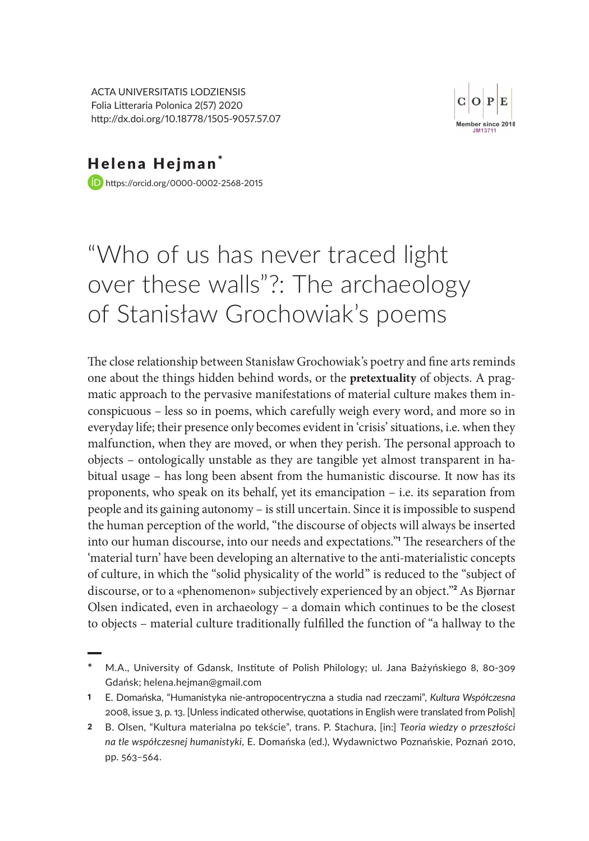ACTA UNIVERSITATIS LODZIENSIS Folia Litteraria Polonica 2(57) 2020 http://dx.doi.org/10.18778/1505-9057.57.07



Helena Hejman\* https://orcid.org/0000-0002-2568-2015

# "Who of us has never traced light over these walls"?: The archaeology of Stanisław Grochowiak's poems

The close relationship between Stanisław Grochowiak's poetry and fine arts reminds one about the things hidden behind words, or the **pretextuality** of objects. A pragmatic approach to the pervasive manifestations of material culture makes them inconspicuous – less so in poems, which carefully weigh every word, and more so in everyday life; their presence only becomes evident in 'crisis' situations, i.e. when they malfunction, when they are moved, or when they perish. The personal approach to objects – ontologically unstable as they are tangible yet almost transparent in habitual usage – has long been absent from the humanistic discourse. It now has its proponents, who speak on its behalf, yet its emancipation – i.e. its separation from people and its gaining autonomy – is still uncertain. Since it is impossible to suspend the human perception of the world, "the discourse of objects will always be inserted into our human discourse, into our needs and expectations."<sup>1</sup> The researchers of the 'material turn' have been developing an alternative to the anti-materialistic concepts of culture, in which the "solid physicality of the world" is reduced to the "subject of discourse, or to a «phenomenon» subjectively experienced by an object."<sup>2</sup> As Bjørnar Olsen indicated, even in archaeology – a domain which continues to be the closest to objects – material culture traditionally fulfilled the function of "a hallway to the

**<sup>\*</sup>** M.A., University of Gdansk, Institute of Polish Philology; ul. Jana Bażyńskiego 8, 80-309 Gdańsk; helena.hejman@gmail.com

<sup>1</sup> E. Domańska, "Humanistyka nie-antropocentryczna a studia nad rzeczami", *Kultura Współczesna* 2008, issue 3, p. 13. [Unless indicated otherwise, quotations in English were translated from Polish]

<sup>2</sup> B. Olsen, "Kultura materialna po tekście", trans. P. Stachura, [in:] *Teoria wiedzy o przeszłości na tle współczesnej humanistyki*, E. Domańska (ed.), Wydawnictwo Poznańskie, Poznań 2010, pp. 563–564.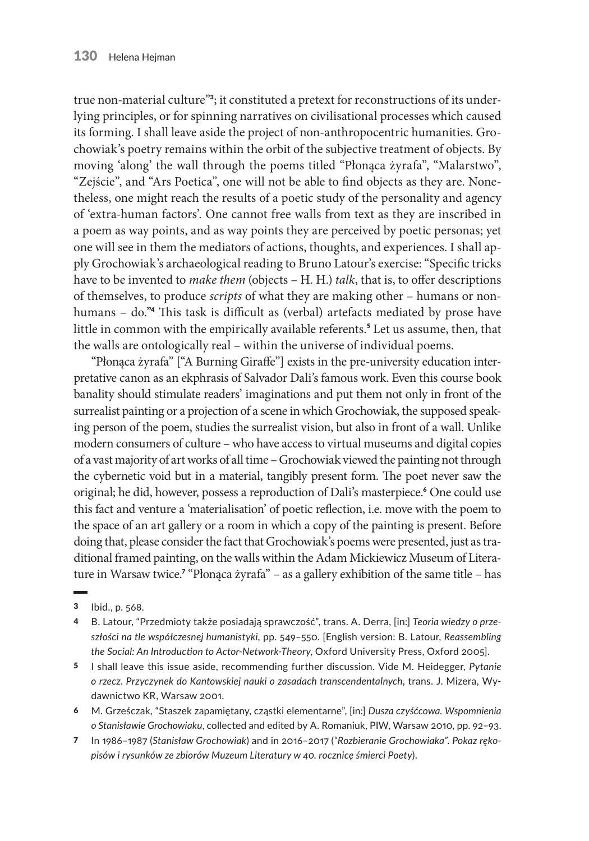true non-material culture"3; it constituted a pretext for reconstructions of its underlying principles, or for spinning narratives on civilisational processes which caused its forming. I shall leave aside the project of non-anthropocentric humanities. Grochowiak's poetry remains within the orbit of the subjective treatment of objects. By moving 'along' the wall through the poems titled "Płonąca żyrafa", "Malarstwo", "Zejście", and "Ars Poetica", one will not be able to find objects as they are. Nonetheless, one might reach the results of a poetic study of the personality and agency of 'extra-human factors'. One cannot free walls from text as they are inscribed in a poem as way points, and as way points they are perceived by poetic personas; yet one will see in them the mediators of actions, thoughts, and experiences. I shall apply Grochowiak's archaeological reading to Bruno Latour's exercise: "Specific tricks have to be invented to *make them* (objects – H. H.) *talk*, that is, to offer descriptions of themselves, to produce *scripts* of what they are making other – humans or nonhumans – do."<sup>4</sup> This task is difficult as (verbal) artefacts mediated by prose have little in common with the empirically available referents.<sup>5</sup> Let us assume, then, that the walls are ontologically real – within the universe of individual poems.

"Płonąca żyrafa" ["A Burning Giraffe"] exists in the pre-university education interpretative canon as an ekphrasis of Salvador Dali's famous work. Even this course book banality should stimulate readers' imaginations and put them not only in front of the surrealist painting or a projection of a scene in which Grochowiak, the supposed speaking person of the poem, studies the surrealist vision, but also in front of a wall. Unlike modern consumers of culture – who have access to virtual museums and digital copies of a vast majority of art works of all time – Grochowiak viewed the painting not through the cybernetic void but in a material, tangibly present form. The poet never saw the original; he did, however, possess a reproduction of Dali's masterpiece.<sup>6</sup> One could use this fact and venture a 'materialisation' of poetic reflection, i.e. move with the poem to the space of an art gallery or a room in which a copy of the painting is present. Before doing that, please consider the fact that Grochowiak's poems were presented, just as traditional framed painting, on the walls within the Adam Mickiewicz Museum of Literature in Warsaw twice.<sup>7</sup> "Płonąca żyrafa" – as a gallery exhibition of the same title – has

- 4 B. Latour, "Przedmioty także posiadają sprawczość", trans. A. Derra, [in:] *Teoria wiedzy o przeszłości na tle współczesnej humanistyki*, pp. 549–550. [English version: B. Latour, *Reassembling the Social: An Introduction to Actor-Network-Theory*, Oxford University Press, Oxford 2005].
- 5 I shall leave this issue aside, recommending further discussion. Vide M. Heidegger, *Pytanie o rzecz. Przyczynek do Kantowskiej nauki o zasadach transcendentalnych*, trans. J. Mizera, Wydawnictwo KR, Warsaw 2001.
- 6 M. Grześczak, "Staszek zapamiętany, cząstki elementarne", [in:] *Dusza czyśćcowa. Wspomnienia o Stanisławie Grochowiaku*, collected and edited by A. Romaniuk, PIW, Warsaw 2010, pp. 92–93.
- 7 In 1986–1987 (*Stanisław Grochowiak*) and in 2016–2017 (*"Rozbieranie Grochowiaka". Pokaz rękopisów i rysunków ze zbiorów Muzeum Literatury w 40. rocznicę śmierci Poety*).

<sup>3</sup> Ibid., p. 568.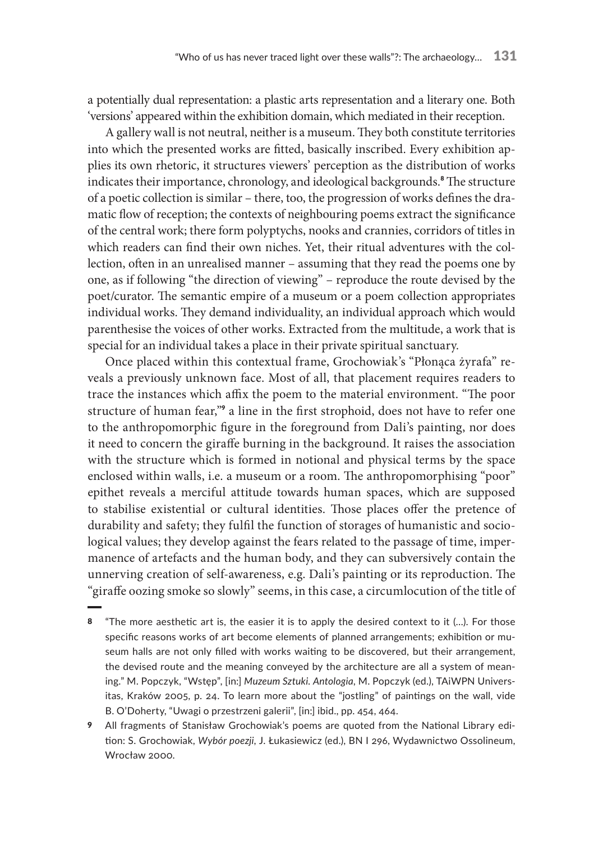a potentially dual representation: a plastic arts representation and a literary one. Both 'versions' appeared within the exhibition domain, which mediated in their reception.

A gallery wall is not neutral, neither is a museum. They both constitute territories into which the presented works are fitted, basically inscribed. Every exhibition applies its own rhetoric, it structures viewers' perception as the distribution of works indicates their importance, chronology, and ideological backgrounds.<sup>8</sup> The structure of a poetic collection is similar – there, too, the progression of works defines the dramatic flow of reception; the contexts of neighbouring poems extract the significance of the central work; there form polyptychs, nooks and crannies, corridors of titles in which readers can find their own niches. Yet, their ritual adventures with the collection, often in an unrealised manner – assuming that they read the poems one by one, as if following "the direction of viewing" – reproduce the route devised by the poet/curator. The semantic empire of a museum or a poem collection appropriates individual works. They demand individuality, an individual approach which would parenthesise the voices of other works. Extracted from the multitude, a work that is special for an individual takes a place in their private spiritual sanctuary.

Once placed within this contextual frame, Grochowiak's "Płonąca żyrafa" reveals a previously unknown face. Most of all, that placement requires readers to trace the instances which affix the poem to the material environment. "The poor structure of human fear,"<sup>9</sup> a line in the first strophoid, does not have to refer one to the anthropomorphic figure in the foreground from Dali's painting, nor does it need to concern the giraffe burning in the background. It raises the association with the structure which is formed in notional and physical terms by the space enclosed within walls, i.e. a museum or a room. The anthropomorphising "poor" epithet reveals a merciful attitude towards human spaces, which are supposed to stabilise existential or cultural identities. Those places offer the pretence of durability and safety; they fulfil the function of storages of humanistic and sociological values; they develop against the fears related to the passage of time, impermanence of artefacts and the human body, and they can subversively contain the unnerving creation of self-awareness, e.g. Dali's painting or its reproduction. The "giraffe oozing smoke so slowly" seems, in this case, a circumlocution of the title of

- 8 "The more aesthetic art is, the easier it is to apply the desired context to it (…). For those specific reasons works of art become elements of planned arrangements; exhibition or museum halls are not only filled with works waiting to be discovered, but their arrangement, the devised route and the meaning conveyed by the architecture are all a system of meaning." M. Popczyk, "Wstęp", [in:] *Muzeum Sztuki. Antologia*, M. Popczyk (ed.), TAiWPN Universitas, Kraków 2005, p. 24. To learn more about the "jostling" of paintings on the wall, vide B. O'Doherty, "Uwagi o przestrzeni galerii", [in:] ibid., pp. 454, 464.
- 9 All fragments of Stanisław Grochowiak's poems are quoted from the National Library edition: S. Grochowiak, *Wybór poezji*, J. Łukasiewicz (ed.), BN I 296, Wydawnictwo Ossolineum, Wrocław 2000.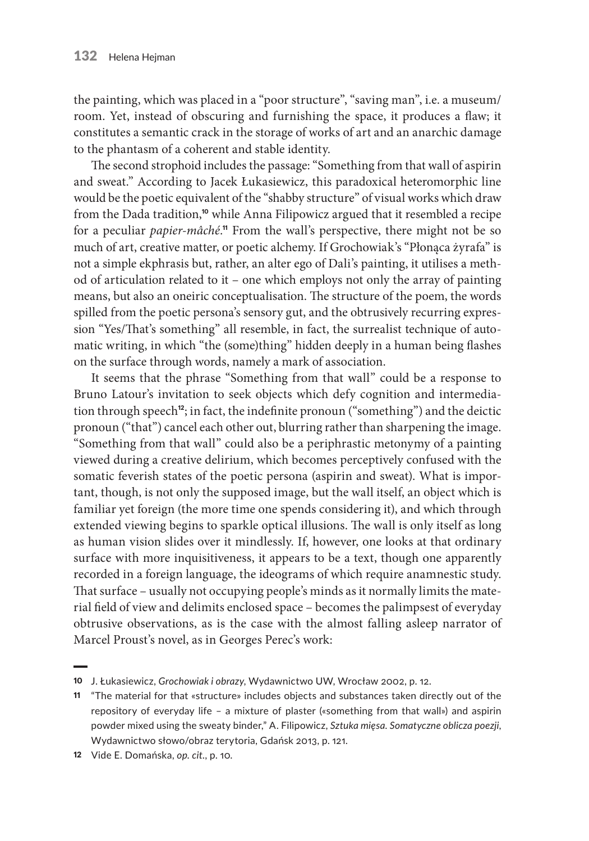the painting, which was placed in a "poor structure", "saving man", i.e. a museum/ room. Yet, instead of obscuring and furnishing the space, it produces a flaw; it constitutes a semantic crack in the storage of works of art and an anarchic damage to the phantasm of a coherent and stable identity.

The second strophoid includes the passage: "Something from that wall of aspirin and sweat." According to Jacek Łukasiewicz, this paradoxical heteromorphic line would be the poetic equivalent of the "shabby structure" of visual works which draw from the Dada tradition,<sup>10</sup> while Anna Filipowicz argued that it resembled a recipe for a peculiar *papier-mâché*." From the wall's perspective, there might not be so much of art, creative matter, or poetic alchemy. If Grochowiak's "Płonąca żyrafa" is not a simple ekphrasis but, rather, an alter ego of Dali's painting, it utilises a method of articulation related to it – one which employs not only the array of painting means, but also an oneiric conceptualisation. The structure of the poem, the words spilled from the poetic persona's sensory gut, and the obtrusively recurring expression "Yes/That's something" all resemble, in fact, the surrealist technique of automatic writing, in which "the (some)thing" hidden deeply in a human being flashes on the surface through words, namely a mark of association.

It seems that the phrase "Something from that wall" could be a response to Bruno Latour's invitation to seek objects which defy cognition and intermediation through speech<sup>12</sup>; in fact, the indefinite pronoun ("something") and the deictic pronoun ("that") cancel each other out, blurring rather than sharpening the image. "Something from that wall" could also be a periphrastic metonymy of a painting viewed during a creative delirium, which becomes perceptively confused with the somatic feverish states of the poetic persona (aspirin and sweat). What is important, though, is not only the supposed image, but the wall itself, an object which is familiar yet foreign (the more time one spends considering it), and which through extended viewing begins to sparkle optical illusions. The wall is only itself as long as human vision slides over it mindlessly. If, however, one looks at that ordinary surface with more inquisitiveness, it appears to be a text, though one apparently recorded in a foreign language, the ideograms of which require anamnestic study. That surface – usually not occupying people's minds as it normally limits the material field of view and delimits enclosed space – becomes the palimpsest of everyday obtrusive observations, as is the case with the almost falling asleep narrator of Marcel Proust's novel, as in Georges Perec's work:

<sup>10</sup> J. Łukasiewicz, *Grochowiak i obrazy*, Wydawnictwo UW, Wrocław 2002, p. 12.

<sup>11</sup> "The material for that «structure» includes objects and substances taken directly out of the repository of everyday life – a mixture of plaster («something from that wall») and aspirin powder mixed using the sweaty binder," A. Filipowicz, *Sztuka mięsa. Somatyczne oblicza poezji*, Wydawnictwo słowo/obraz terytoria, Gdańsk 2013, p. 121.

<sup>12</sup> Vide E. Domańska, *op. cit.*, p. 10.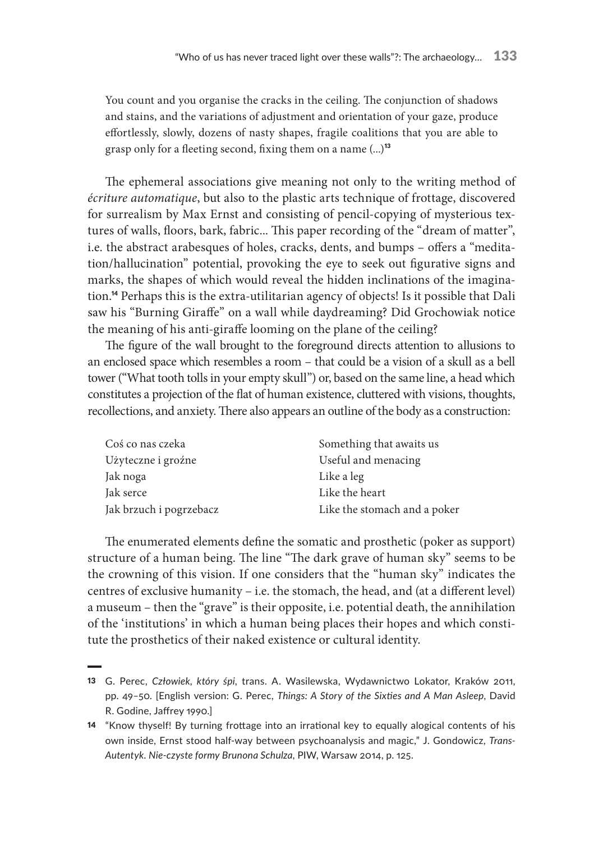You count and you organise the cracks in the ceiling. The conjunction of shadows and stains, and the variations of adjustment and orientation of your gaze, produce effortlessly, slowly, dozens of nasty shapes, fragile coalitions that you are able to grasp only for a fleeting second, fixing them on a name  $(...)$ <sup>13</sup>

The ephemeral associations give meaning not only to the writing method of *écriture automatique*, but also to the plastic arts technique of frottage, discovered for surrealism by Max Ernst and consisting of pencil-copying of mysterious textures of walls, floors, bark, fabric... This paper recording of the "dream of matter", i.e. the abstract arabesques of holes, cracks, dents, and bumps – offers a "meditation/hallucination" potential, provoking the eye to seek out figurative signs and marks, the shapes of which would reveal the hidden inclinations of the imagination.<sup>14</sup> Perhaps this is the extra-utilitarian agency of objects! Is it possible that Dali saw his "Burning Giraffe" on a wall while daydreaming? Did Grochowiak notice the meaning of his anti-giraffe looming on the plane of the ceiling?

The figure of the wall brought to the foreground directs attention to allusions to an enclosed space which resembles a room – that could be a vision of a skull as a bell tower ("What tooth tolls in your empty skull") or, based on the same line, a head which constitutes a projection of the flat of human existence, cluttered with visions, thoughts, recollections, and anxiety. There also appears an outline of the body as a construction:

| Coś co nas czeka        | Something that awaits us     |
|-------------------------|------------------------------|
| Użyteczne i groźne      | Useful and menacing          |
| Jak noga                | Like a leg                   |
| Jak serce               | Like the heart               |
| Jak brzuch i pogrzebacz | Like the stomach and a poker |

The enumerated elements define the somatic and prosthetic (poker as support) structure of a human being. The line "The dark grave of human sky" seems to be the crowning of this vision. If one considers that the "human sky" indicates the centres of exclusive humanity – i.e. the stomach, the head, and (at a different level) a museum – then the "grave" is their opposite, i.e. potential death, the annihilation of the 'institutions' in which a human being places their hopes and which constitute the prosthetics of their naked existence or cultural identity.

<sup>13</sup> G. Perec, *Człowiek, który śpi*, trans. A. Wasilewska, Wydawnictwo Lokator, Kraków 2011, pp. 49–50. [English version: G. Perec, *Things: A Story of the Sixties and A Man Asleep*, David R. Godine, Jaffrey 1990.]

<sup>14</sup> "Know thyself! By turning frottage into an irrational key to equally alogical contents of his own inside, Ernst stood half-way between psychoanalysis and magic," J. Gondowicz, *Trans-Autentyk. Nie-czyste formy Brunona Schulza*, PIW, Warsaw 2014, p. 125.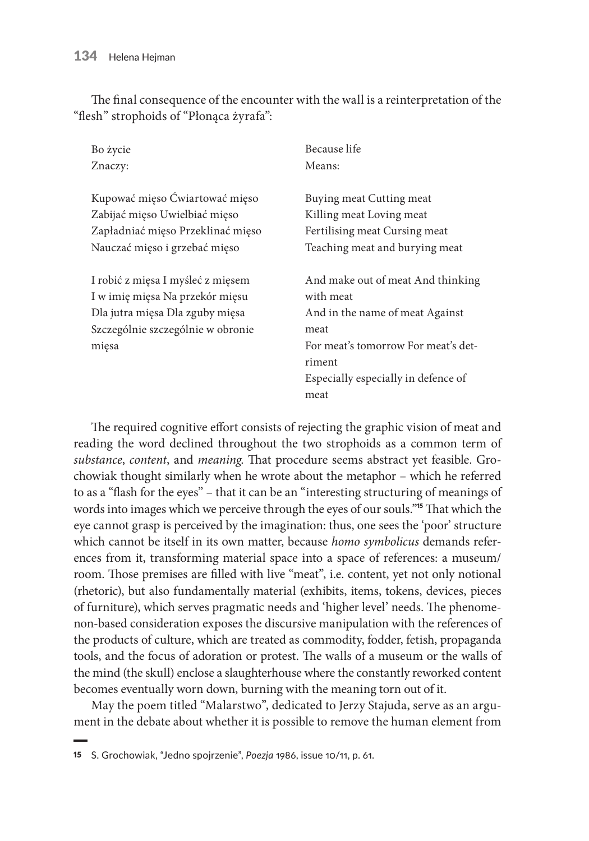The final consequence of the encounter with the wall is a reinterpretation of the "flesh" strophoids of "Płonąca żyrafa":

| Bo życie                          | Because life                        |
|-----------------------------------|-------------------------------------|
| Znaczy:                           | Means:                              |
|                                   |                                     |
| Kupować mięso Ćwiartować mięso    | Buying meat Cutting meat            |
| Zabijać mięso Uwielbiać mięso     | Killing meat Loving meat            |
| Zapładniać mięso Przeklinać mięso | Fertilising meat Cursing meat       |
| Nauczać mięso i grzebać mięso     | Teaching meat and burying meat      |
|                                   |                                     |
| I robić z mięsa I myśleć z mięsem | And make out of meat And thinking   |
| I w imię mięsa Na przekór mięsu   | with meat                           |
| Dla jutra mięsa Dla zguby mięsa   | And in the name of meat Against     |
| Szczególnie szczególnie w obronie | meat                                |
| mięsa                             | For meat's tomorrow For meat's det- |
|                                   | riment                              |
|                                   | Especially especially in defence of |
|                                   | meat                                |

The required cognitive effort consists of rejecting the graphic vision of meat and reading the word declined throughout the two strophoids as a common term of *substance*, *content*, and *meaning*. That procedure seems abstract yet feasible. Grochowiak thought similarly when he wrote about the metaphor – which he referred to as a "flash for the eyes" – that it can be an "interesting structuring of meanings of words into images which we perceive through the eyes of our souls."<sup>15</sup> That which the eye cannot grasp is perceived by the imagination: thus, one sees the 'poor' structure which cannot be itself in its own matter, because *homo symbolicus* demands references from it, transforming material space into a space of references: a museum/ room. Those premises are filled with live "meat", i.e. content, yet not only notional (rhetoric), but also fundamentally material (exhibits, items, tokens, devices, pieces of furniture), which serves pragmatic needs and 'higher level' needs. The phenomenon-based consideration exposes the discursive manipulation with the references of the products of culture, which are treated as commodity, fodder, fetish, propaganda tools, and the focus of adoration or protest. The walls of a museum or the walls of the mind (the skull) enclose a slaughterhouse where the constantly reworked content becomes eventually worn down, burning with the meaning torn out of it.

May the poem titled "Malarstwo", dedicated to Jerzy Stajuda, serve as an argument in the debate about whether it is possible to remove the human element from

<sup>15</sup> S. Grochowiak, "Jedno spojrzenie", *Poezja* 1986, issue 10/11, p. 61.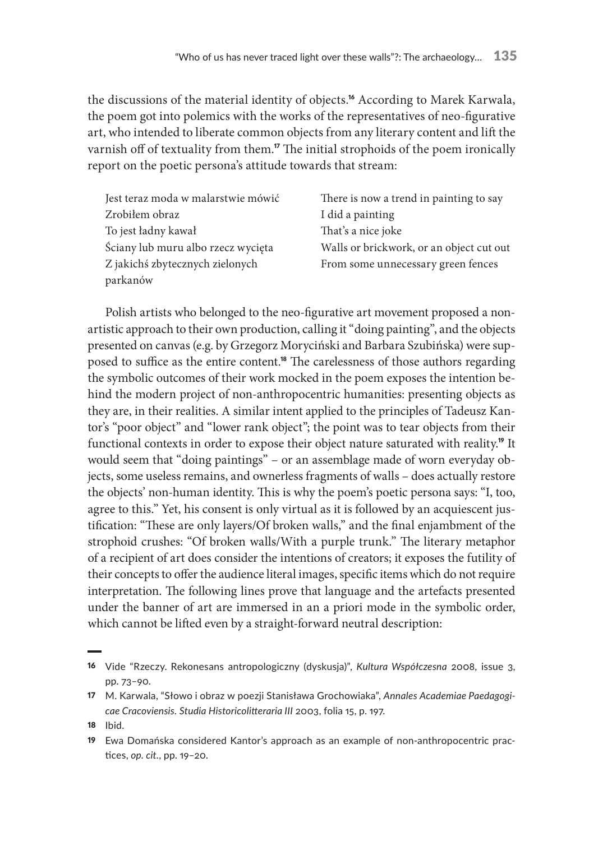the discussions of the material identity of objects.<sup>16</sup> According to Marek Karwala, the poem got into polemics with the works of the representatives of neo-figurative art, who intended to liberate common objects from any literary content and lift the varnish off of textuality from them.<sup>17</sup> The initial strophoids of the poem ironically report on the poetic persona's attitude towards that stream:

| Jest teraz moda w malarstwie mówić | There is now a trend in painting to say  |
|------------------------------------|------------------------------------------|
| Zrobiłem obraz                     | I did a painting                         |
| To jest ładny kawał                | That's a nice joke                       |
| Ściany lub muru albo rzecz wycięta | Walls or brickwork, or an object cut out |
| Z jakichś zbytecznych zielonych    | From some unnecessary green fences       |
| parkanów                           |                                          |

Polish artists who belonged to the neo-figurative art movement proposed a nonartistic approach to their own production, calling it "doing painting", and the objects presented on canvas (e.g. by Grzegorz Moryciński and Barbara Szubińska) were supposed to suffice as the entire content.<sup>18</sup> The carelessness of those authors regarding the symbolic outcomes of their work mocked in the poem exposes the intention behind the modern project of non-anthropocentric humanities: presenting objects as they are, in their realities. A similar intent applied to the principles of Tadeusz Kantor's "poor object" and "lower rank object"; the point was to tear objects from their functional contexts in order to expose their object nature saturated with reality.<sup>19</sup> It would seem that "doing paintings" – or an assemblage made of worn everyday objects, some useless remains, and ownerless fragments of walls – does actually restore the objects' non-human identity. This is why the poem's poetic persona says: "I, too, agree to this." Yet, his consent is only virtual as it is followed by an acquiescent justification: "These are only layers/Of broken walls," and the final enjambment of the strophoid crushes: "Of broken walls/With a purple trunk." The literary metaphor of a recipient of art does consider the intentions of creators; it exposes the futility of their concepts to offer the audience literal images, specific items which do not require interpretation. The following lines prove that language and the artefacts presented under the banner of art are immersed in an a priori mode in the symbolic order, which cannot be lifted even by a straight-forward neutral description:

18 Ibid.

<sup>16</sup> Vide "Rzeczy. Rekonesans antropologiczny (dyskusja)", *Kultura Współczesna* 2008, issue 3, pp. 73–90.

<sup>17</sup> M. Karwala, "Słowo i obraz w poezji Stanisława Grochowiaka", *Annales Academiae Paedagogicae Cracoviensis. Studia Historicolitteraria III* 2003, folia 15, p. 197.

<sup>19</sup> Ewa Domańska considered Kantor's approach as an example of non-anthropocentric practices, *op. cit.*, pp. 19–20.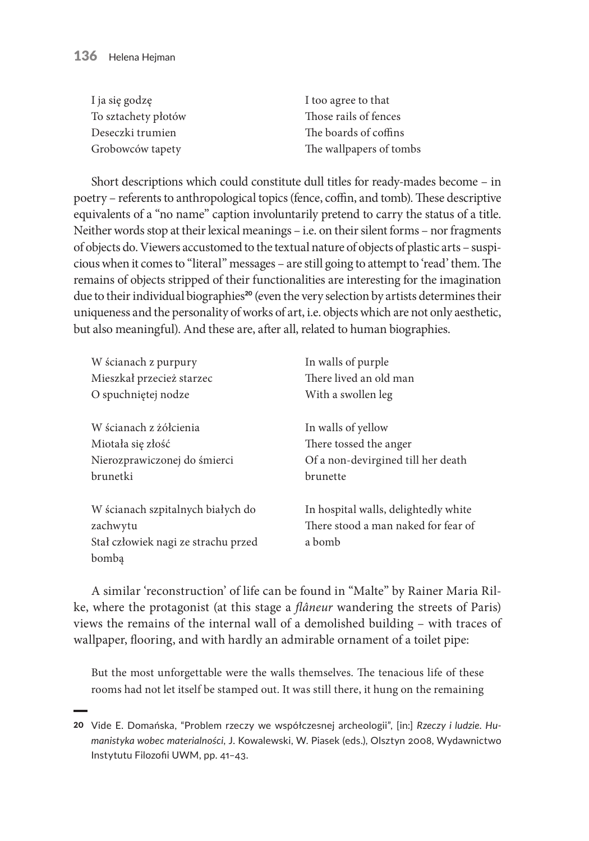| I ja się godzę      | I too agree to that     |
|---------------------|-------------------------|
| To sztachety płotów | Those rails of fences   |
| Deseczki trumien    | The boards of coffins   |
| Grobowców tapety    | The wallpapers of tombs |

Short descriptions which could constitute dull titles for ready-mades become – in poetry – referents to anthropological topics (fence, coffin, and tomb). These descriptive equivalents of a "no name" caption involuntarily pretend to carry the status of a title. Neither words stop at their lexical meanings – i.e. on their silent forms – nor fragments of objects do. Viewers accustomed to the textual nature of objects of plastic arts – suspicious when it comes to "literal" messages – are still going to attempt to 'read' them. The remains of objects stripped of their functionalities are interesting for the imagination due to their individual biographies<sup>20</sup> (even the very selection by artists determines their uniqueness and the personality of works of art, i.e. objects which are not only aesthetic, but also meaningful). And these are, after all, related to human biographies.

| W ścianach z purpury                          | In walls of purple                                                          |
|-----------------------------------------------|-----------------------------------------------------------------------------|
| Mieszkał przecież starzec                     | There lived an old man                                                      |
| O spuchniętej nodze                           | With a swollen leg                                                          |
| W ścianach z żółcienia                        | In walls of yellow                                                          |
| Miotała się złość                             | There tossed the anger                                                      |
| Nierozprawiczonej do śmierci                  | Of a non-devirgined till her death                                          |
| brunetki                                      | brunette                                                                    |
| W ścianach szpitalnych białych do<br>zachwytu | In hospital walls, delightedly white<br>There stood a man naked for fear of |
| Stał człowiek nagi ze strachu przed           | a bomb                                                                      |
| bomba                                         |                                                                             |

A similar 'reconstruction' of life can be found in "Malte" by Rainer Maria Rilke, where the protagonist (at this stage a *flâneur* wandering the streets of Paris) views the remains of the internal wall of a demolished building – with traces of wallpaper, flooring, and with hardly an admirable ornament of a toilet pipe:

But the most unforgettable were the walls themselves. The tenacious life of these rooms had not let itself be stamped out. It was still there, it hung on the remaining

<sup>20</sup> Vide E. Domańska, "Problem rzeczy we współczesnej archeologii", [in:] *Rzeczy i ludzie. Humanistyka wobec materialności*, J. Kowalewski, W. Piasek (eds.), Olsztyn 2008, Wydawnictwo Instytutu Filozofii UWM, pp. 41–43.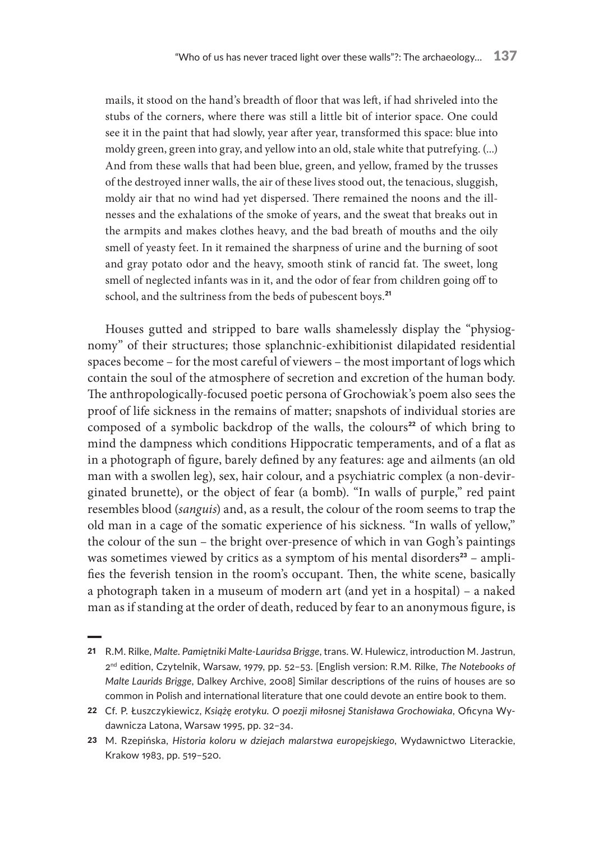mails, it stood on the hand's breadth of floor that was left, if had shriveled into the stubs of the corners, where there was still a little bit of interior space. One could see it in the paint that had slowly, year after year, transformed this space: blue into moldy green, green into gray, and yellow into an old, stale white that putrefying. (...) And from these walls that had been blue, green, and yellow, framed by the trusses of the destroyed inner walls, the air of these lives stood out, the tenacious, sluggish, moldy air that no wind had yet dispersed. There remained the noons and the illnesses and the exhalations of the smoke of years, and the sweat that breaks out in the armpits and makes clothes heavy, and the bad breath of mouths and the oily smell of yeasty feet. In it remained the sharpness of urine and the burning of soot and gray potato odor and the heavy, smooth stink of rancid fat. The sweet, long smell of neglected infants was in it, and the odor of fear from children going off to school, and the sultriness from the beds of pubescent boys.<sup>21</sup>

Houses gutted and stripped to bare walls shamelessly display the "physiognomy" of their structures; those splanchnic-exhibitionist dilapidated residential spaces become – for the most careful of viewers – the most important of logs which contain the soul of the atmosphere of secretion and excretion of the human body. The anthropologically-focused poetic persona of Grochowiak's poem also sees the proof of life sickness in the remains of matter; snapshots of individual stories are composed of a symbolic backdrop of the walls, the colours<sup>22</sup> of which bring to mind the dampness which conditions Hippocratic temperaments, and of a flat as in a photograph of figure, barely defined by any features: age and ailments (an old man with a swollen leg), sex, hair colour, and a psychiatric complex (a non-devirginated brunette), or the object of fear (a bomb). "In walls of purple," red paint resembles blood (*sanguis*) and, as a result, the colour of the room seems to trap the old man in a cage of the somatic experience of his sickness. "In walls of yellow," the colour of the sun – the bright over-presence of which in van Gogh's paintings was sometimes viewed by critics as a symptom of his mental disorders $23$  – amplifies the feverish tension in the room's occupant. Then, the white scene, basically a photograph taken in a museum of modern art (and yet in a hospital) – a naked man as if standing at the order of death, reduced by fear to an anonymous figure, is

<sup>21</sup> R.M. Rilke, *Malte. Pamiętniki Malte-Lauridsa Brigge*, trans. W. Hulewicz, introduction M. Jastrun, 2nd edition, Czytelnik, Warsaw, 1979, pp. 52–53. [English version: R.M. Rilke, *The Notebooks of Malte Laurids Brigge*, Dalkey Archive, 2008] Similar descriptions of the ruins of houses are so common in Polish and international literature that one could devote an entire book to them.

<sup>22</sup> Cf. P. Łuszczykiewicz, *Książę erotyku. O poezji miłosnej Stanisława Grochowiaka*, Oficyna Wydawnicza Latona, Warsaw 1995, pp. 32–34.

<sup>23</sup> M. Rzepińska, *Historia koloru w dziejach malarstwa europejskiego*, Wydawnictwo Literackie, Krakow 1983, pp. 519–520.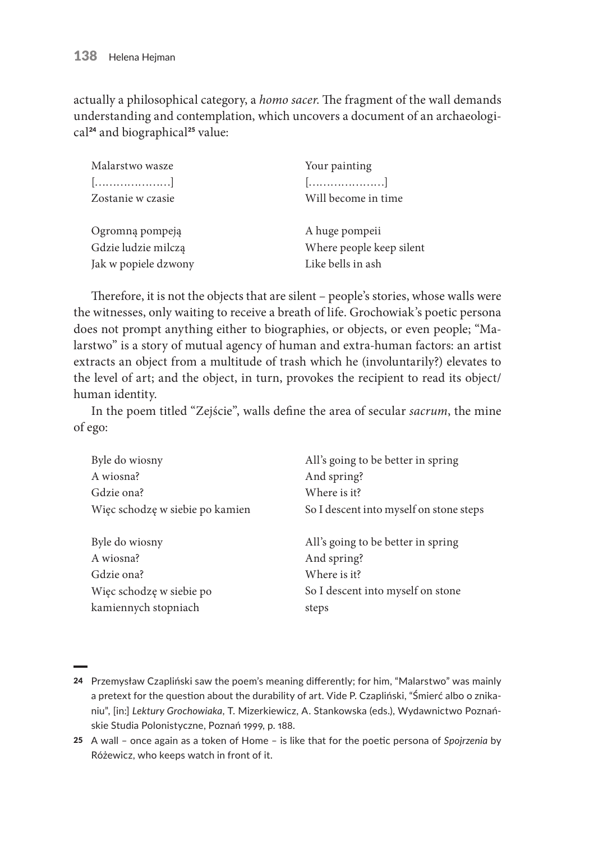actually a philosophical category, a *homo sacer*. The fragment of the wall demands understanding and contemplation, which uncovers a document of an archaeological<sup>24</sup> and biographical<sup>25</sup> value:

| Malarstwo wasze      | Your painting            |
|----------------------|--------------------------|
| $[$                  | []                       |
| Zostanie w czasie    | Will become in time      |
|                      |                          |
| Ogromną pompeją      | A huge pompeii           |
| Gdzie ludzie milczą  | Where people keep silent |
| Jak w popiele dzwony | Like bells in ash        |

Therefore, it is not the objects that are silent – people's stories, whose walls were the witnesses, only waiting to receive a breath of life. Grochowiak's poetic persona does not prompt anything either to biographies, or objects, or even people; "Malarstwo" is a story of mutual agency of human and extra-human factors: an artist extracts an object from a multitude of trash which he (involuntarily?) elevates to the level of art; and the object, in turn, provokes the recipient to read its object/ human identity.

In the poem titled "Zejście", walls define the area of secular *sacrum*, the mine of ego:

| Byle do wiosny                  | All's going to be better in spring      |
|---------------------------------|-----------------------------------------|
| A wiosna?                       | And spring?                             |
| Gdzie ona?                      | Where is it?                            |
| Więc schodzę w siebie po kamien | So I descent into myself on stone steps |
|                                 |                                         |
| Byle do wiosny                  | All's going to be better in spring      |
| A wiosna?                       | And spring?                             |
| Gdzie ona?                      | Where is it?                            |
| Więc schodzę w siebie po        | So I descent into myself on stone       |
| kamiennych stopniach            | steps                                   |

<sup>24</sup> Przemysław Czapliński saw the poem's meaning differently; for him, "Malarstwo" was mainly a pretext for the question about the durability of art. Vide P. Czapliński, "Śmierć albo o znikaniu", [in:] *Lektury Grochowiaka*, T. Mizerkiewicz, A. Stankowska (eds.), Wydawnictwo Poznańskie Studia Polonistyczne, Poznań 1999, p. 188.

<sup>25</sup> A wall – once again as a token of Home – is like that for the poetic persona of *Spojrzenia* by Różewicz, who keeps watch in front of it.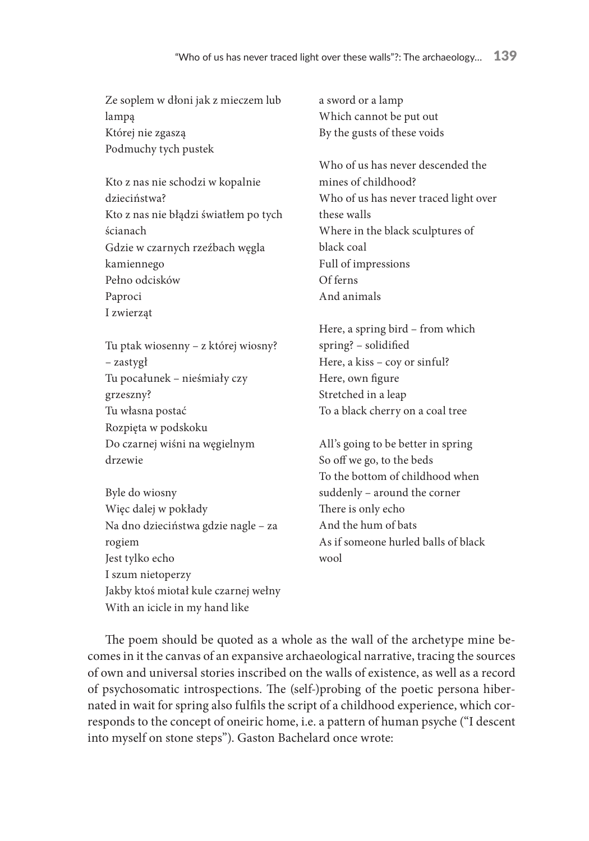Ze soplem w dłoni jak z mieczem lub lampą Której nie zgaszą Podmuchy tych pustek

Kto z nas nie schodzi w kopalnie dzieciństwa? Kto z nas nie błądzi światłem po tych ścianach Gdzie w czarnych rzeźbach węgla kamiennego Pełno odcisków Paproci I zwierząt

Tu ptak wiosenny – z której wiosny? – zastygł Tu pocałunek – nieśmiały czy grzeszny? Tu własna postać Rozpięta w podskoku Do czarnej wiśni na węgielnym drzewie

Byle do wiosny Więc dalej w pokłady Na dno dzieciństwa gdzie nagle – za rogiem Jest tylko echo I szum nietoperzy Jakby ktoś miotał kule czarnej wełny With an icicle in my hand like

a sword or a lamp Which cannot be put out By the gusts of these voids

Who of us has never descended the mines of childhood? Who of us has never traced light over these walls Where in the black sculptures of black coal Full of impressions Of ferns And animals

Here, a spring bird – from which spring? – solidified Here, a kiss – coy or sinful? Here, own figure Stretched in a leap To a black cherry on a coal tree

All's going to be better in spring So off we go, to the beds To the bottom of childhood when suddenly – around the corner There is only echo And the hum of bats As if someone hurled balls of black wool

The poem should be quoted as a whole as the wall of the archetype mine becomes in it the canvas of an expansive archaeological narrative, tracing the sources of own and universal stories inscribed on the walls of existence, as well as a record of psychosomatic introspections. The (self-)probing of the poetic persona hibernated in wait for spring also fulfils the script of a childhood experience, which corresponds to the concept of oneiric home, i.e. a pattern of human psyche ("I descent into myself on stone steps"). Gaston Bachelard once wrote: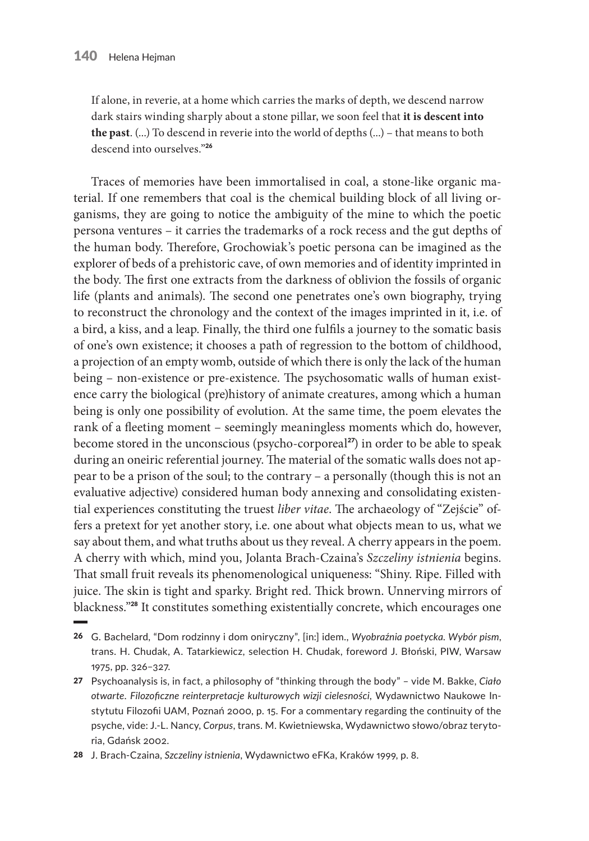If alone, in reverie, at a home which carries the marks of depth, we descend narrow dark stairs winding sharply about a stone pillar, we soon feel that **it is descent into the past**. (...) To descend in reverie into the world of depths (...) – that means to both descend into ourselves."<sup>26</sup>

Traces of memories have been immortalised in coal, a stone-like organic material. If one remembers that coal is the chemical building block of all living organisms, they are going to notice the ambiguity of the mine to which the poetic persona ventures – it carries the trademarks of a rock recess and the gut depths of the human body. Therefore, Grochowiak's poetic persona can be imagined as the explorer of beds of a prehistoric cave, of own memories and of identity imprinted in the body. The first one extracts from the darkness of oblivion the fossils of organic life (plants and animals). The second one penetrates one's own biography, trying to reconstruct the chronology and the context of the images imprinted in it, i.e. of a bird, a kiss, and a leap. Finally, the third one fulfils a journey to the somatic basis of one's own existence; it chooses a path of regression to the bottom of childhood, a projection of an empty womb, outside of which there is only the lack of the human being – non-existence or pre-existence. The psychosomatic walls of human existence carry the biological (pre)history of animate creatures, among which a human being is only one possibility of evolution. At the same time, the poem elevates the rank of a fleeting moment – seemingly meaningless moments which do, however, become stored in the unconscious (psycho-corporeal<sup>27</sup>) in order to be able to speak during an oneiric referential journey. The material of the somatic walls does not appear to be a prison of the soul; to the contrary – a personally (though this is not an evaluative adjective) considered human body annexing and consolidating existential experiences constituting the truest *liber vitae*. The archaeology of "Zejście" offers a pretext for yet another story, i.e. one about what objects mean to us, what we say about them, and what truths about us they reveal. A cherry appears in the poem. A cherry with which, mind you, Jolanta Brach-Czaina's *Szczeliny istnienia* begins. That small fruit reveals its phenomenological uniqueness: "Shiny. Ripe. Filled with juice. The skin is tight and sparky. Bright red. Thick brown. Unnerving mirrors of blackness."<sup>28</sup> It constitutes something existentially concrete, which encourages one

27 Psychoanalysis is, in fact, a philosophy of "thinking through the body" – vide M. Bakke, *Ciało otwarte. Filozoficzne reinterpretacje kulturowych wizji cielesności*, Wydawnictwo Naukowe Instytutu Filozofii UAM, Poznań 2000, p. 15. For a commentary regarding the continuity of the psyche, vide: J.-L. Nancy, *Corpus*, trans. M. Kwietniewska, Wydawnictwo słowo/obraz terytoria, Gdańsk 2002.

28 J. Brach-Czaina, *Szczeliny istnienia*, Wydawnictwo eFKa, Kraków 1999, p. 8.

<sup>26</sup> G. Bachelard*,* "Dom rodzinny i dom oniryczny", [in:] idem., *Wyobraźnia poetycka. Wybór pism*, trans. H. Chudak, A. Tatarkiewicz, selection H. Chudak, foreword J. Błoński, PIW, Warsaw 1975, pp. 326–327.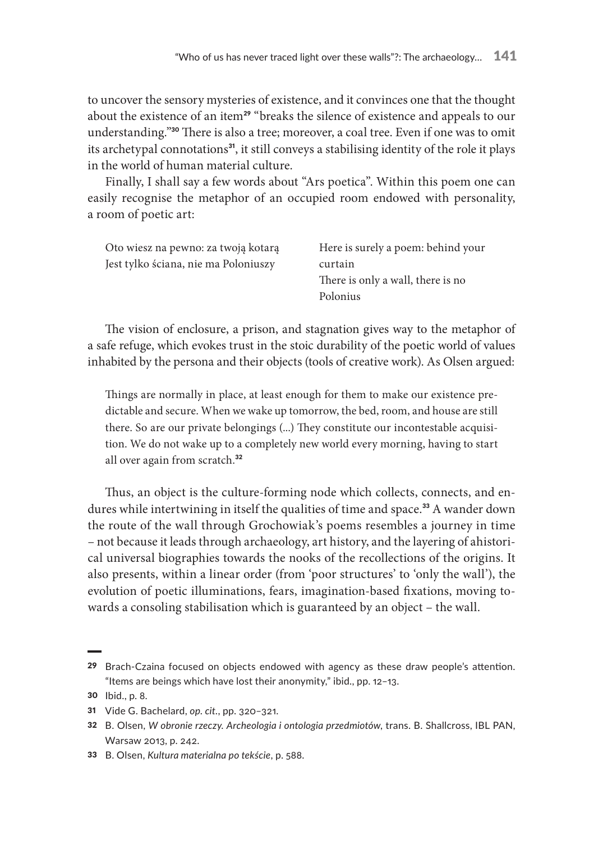to uncover the sensory mysteries of existence, and it convinces one that the thought about the existence of an item<sup>29</sup> "breaks the silence of existence and appeals to our understanding."30 There is also a tree; moreover, a coal tree. Even if one was to omit its archetypal connotations<sup>31</sup>, it still conveys a stabilising identity of the role it plays in the world of human material culture.

Finally, I shall say a few words about "Ars poetica". Within this poem one can easily recognise the metaphor of an occupied room endowed with personality, a room of poetic art:

| Oto wiesz na pewno: za twoją kotarą  | Here is surely a poem: behind your |
|--------------------------------------|------------------------------------|
| Jest tylko ściana, nie ma Poloniuszy | curtain                            |
|                                      | There is only a wall, there is no  |
|                                      | Polonius                           |
|                                      |                                    |

The vision of enclosure, a prison, and stagnation gives way to the metaphor of a safe refuge, which evokes trust in the stoic durability of the poetic world of values inhabited by the persona and their objects (tools of creative work). As Olsen argued:

Things are normally in place, at least enough for them to make our existence predictable and secure. When we wake up tomorrow, the bed, room, and house are still there. So are our private belongings (...) They constitute our incontestable acquisition. We do not wake up to a completely new world every morning, having to start all over again from scratch.<sup>32</sup>

Thus, an object is the culture-forming node which collects, connects, and endures while intertwining in itself the qualities of time and space.<sup>33</sup> A wander down the route of the wall through Grochowiak's poems resembles a journey in time – not because it leads through archaeology, art history, and the layering of ahistorical universal biographies towards the nooks of the recollections of the origins. It also presents, within a linear order (from 'poor structures' to 'only the wall'), the evolution of poetic illuminations, fears, imagination-based fixations, moving towards a consoling stabilisation which is guaranteed by an object – the wall.

<sup>29</sup> Brach-Czaina focused on objects endowed with agency as these draw people's attention. "Items are beings which have lost their anonymity," ibid., pp. 12–13.

<sup>30</sup> Ibid., p. 8.

<sup>31</sup> Vide G. Bachelard, *op. cit.*, pp. 320–321.

<sup>32</sup> B. Olsen, *W obronie rzeczy. Archeologia i ontologia przedmiotów*, trans. B. Shallcross, IBL PAN, Warsaw 2013, p. 242.

<sup>33</sup> B. Olsen, *Kultura materialna po tekście*, p. 588.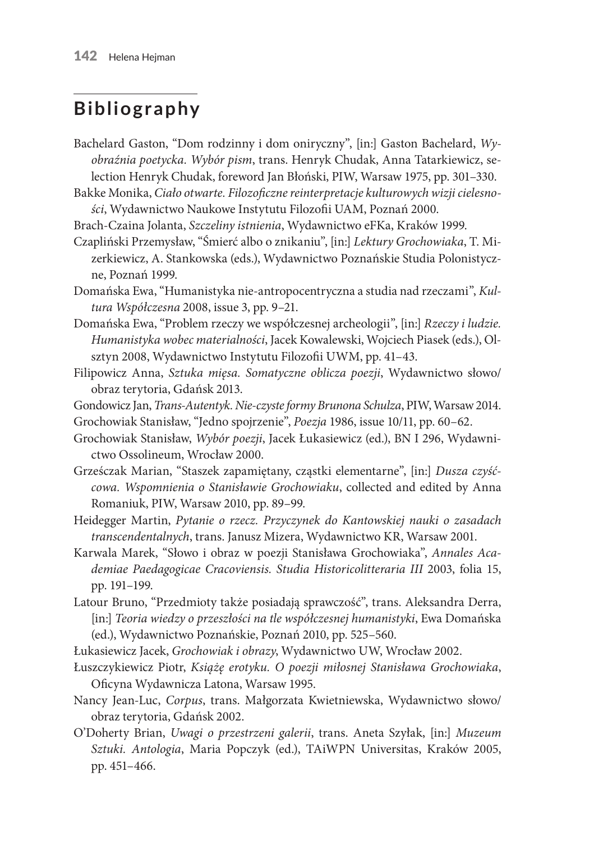#### **Bibliography**

- Bachelard Gaston, "Dom rodzinny i dom oniryczny", [in:] Gaston Bachelard, *Wyobraźnia poetycka. Wybór pism*, trans. Henryk Chudak, Anna Tatarkiewicz, selection Henryk Chudak, foreword Jan Błoński, PIW, Warsaw 1975, pp. 301–330.
- Bakke Monika, *Ciało otwarte. Filozoficzne reinterpretacje kulturowych wizji cielesności*, Wydawnictwo Naukowe Instytutu Filozofii UAM, Poznań 2000.
- Brach-Czaina Jolanta, *Szczeliny istnienia*, Wydawnictwo eFKa, Kraków 1999.
- Czapliński Przemysław, "Śmierć albo o znikaniu", [in:] *Lektury Grochowiaka*, T. Mizerkiewicz, A. Stankowska (eds.), Wydawnictwo Poznańskie Studia Polonistyczne, Poznań 1999.
- Domańska Ewa, "Humanistyka nie-antropocentryczna a studia nad rzeczami", *Kultura Współczesna* 2008, issue 3, pp. 9–21.
- Domańska Ewa, "Problem rzeczy we współczesnej archeologii", [in:] *Rzeczy i ludzie. Humanistyka wobec materialności*, Jacek Kowalewski, Wojciech Piasek (eds.), Olsztyn 2008, Wydawnictwo Instytutu Filozofii UWM, pp. 41–43.
- Filipowicz Anna, *Sztuka mięsa. Somatyczne oblicza poezji*, Wydawnictwo słowo/ obraz terytoria, Gdańsk 2013.
- Gondowicz Jan, *Trans-Autentyk. Nie-czyste formy Brunona Schulza*, PIW, Warsaw 2014.
- Grochowiak Stanisław, "Jedno spojrzenie", *Poezja* 1986, issue 10/11, pp. 60–62.
- Grochowiak Stanisław, *Wybór poezji*, Jacek Łukasiewicz (ed.), BN I 296, Wydawnictwo Ossolineum, Wrocław 2000.
- Grześczak Marian, "Staszek zapamiętany, cząstki elementarne", [in:] *Dusza czyśćcowa. Wspomnienia o Stanisławie Grochowiaku*, collected and edited by Anna Romaniuk, PIW, Warsaw 2010, pp. 89–99.
- Heidegger Martin, *Pytanie o rzecz. Przyczynek do Kantowskiej nauki o zasadach transcendentalnych*, trans. Janusz Mizera, Wydawnictwo KR, Warsaw 2001.
- Karwala Marek, "Słowo i obraz w poezji Stanisława Grochowiaka", *Annales Academiae Paedagogicae Cracoviensis. Studia Historicolitteraria III* 2003, folia 15, pp. 191–199.
- Latour Bruno, "Przedmioty także posiadają sprawczość", trans. Aleksandra Derra, [in:] *Teoria wiedzy o przeszłości na tle współczesnej humanistyki*, Ewa Domańska (ed.), Wydawnictwo Poznańskie, Poznań 2010, pp. 525–560.
- Łukasiewicz Jacek, *Grochowiak i obrazy*, Wydawnictwo UW, Wrocław 2002.
- Łuszczykiewicz Piotr, *Książę erotyku. O poezji miłosnej Stanisława Grochowiaka*, Oficyna Wydawnicza Latona, Warsaw 1995.
- Nancy Jean-Luc, *Corpus*, trans. Małgorzata Kwietniewska, Wydawnictwo słowo/ obraz terytoria, Gdańsk 2002.
- O'Doherty Brian, *Uwagi o przestrzeni galerii*, trans. Aneta Szyłak, [in:] *Muzeum Sztuki. Antologia*, Maria Popczyk (ed.), TAiWPN Universitas, Kraków 2005, pp. 451–466.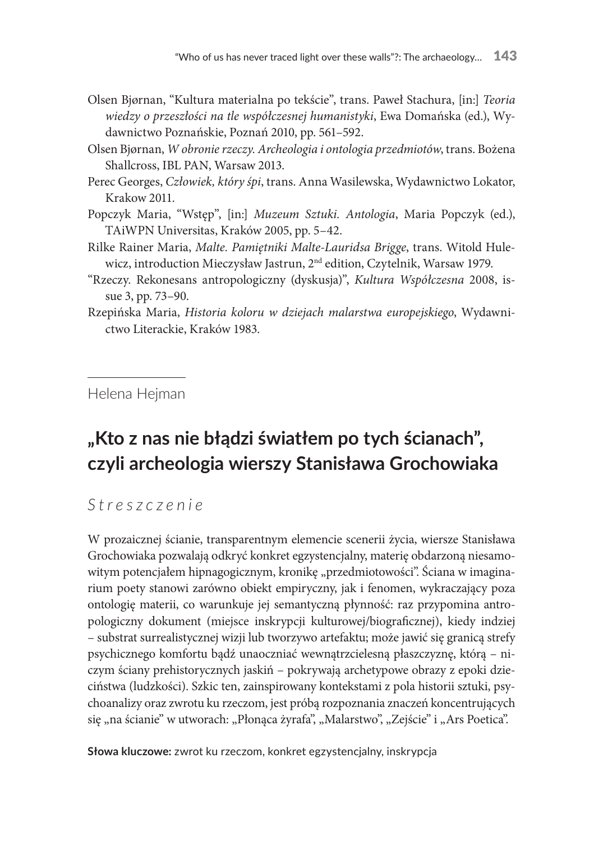- Olsen Bjørnan, "Kultura materialna po tekście", trans. Paweł Stachura, [in:] *Teoria wiedzy o przeszłości na tle współczesnej humanistyki*, Ewa Domańska (ed.), Wydawnictwo Poznańskie, Poznań 2010, pp. 561–592.
- Olsen Bjørnan, *W obronie rzeczy. Archeologia i ontologia przedmiotów*, trans. Bożena Shallcross, IBL PAN, Warsaw 2013.
- Perec Georges, *Człowiek, który śpi*, trans. Anna Wasilewska, Wydawnictwo Lokator, Krakow 2011.
- Popczyk Maria, "Wstęp", [in:] *Muzeum Sztuki. Antologia*, Maria Popczyk (ed.), TAiWPN Universitas, Kraków 2005, pp. 5–42.
- Rilke Rainer Maria, *Malte. Pamiętniki Malte-Lauridsa Brigge*, trans. Witold Hulewicz, introduction Mieczysław Jastrun, 2nd edition, Czytelnik, Warsaw 1979.
- "Rzeczy. Rekonesans antropologiczny (dyskusja)", *Kultura Współczesna* 2008, issue 3, pp. 73–90.
- Rzepińska Maria, *Historia koloru w dziejach malarstwa europejskiego*, Wydawnictwo Literackie, Kraków 1983.

Helena Hejman

### **"Kto z nas nie błądzi światłem po tych ścianach", czyli archeologia wierszy Stanisława Grochowiaka**

*Streszczenie*

W prozaicznej ścianie, transparentnym elemencie scenerii życia, wiersze Stanisława Grochowiaka pozwalają odkryć konkret egzystencjalny, materię obdarzoną niesamowitym potencjałem hipnagogicznym, kronikę "przedmiotowości". Ściana w imaginarium poety stanowi zarówno obiekt empiryczny, jak i fenomen, wykraczający poza ontologię materii, co warunkuje jej semantyczną płynność: raz przypomina antropologiczny dokument (miejsce inskrypcji kulturowej/biograficznej), kiedy indziej – substrat surrealistycznej wizji lub tworzywo artefaktu; może jawić się granicą strefy psychicznego komfortu bądź unaoczniać wewnątrzcielesną płaszczyznę, którą – niczym ściany prehistorycznych jaskiń – pokrywają archetypowe obrazy z epoki dzieciństwa (ludzkości). Szkic ten, zainspirowany kontekstami z pola historii sztuki, psychoanalizy oraz zwrotu ku rzeczom, jest próbą rozpoznania znaczeń koncentrujących się "na ścianie" w utworach: "Płonąca żyrafa", "Malarstwo", "Zejście" i "Ars Poetica".

**Słowa kluczowe:** zwrot ku rzeczom, konkret egzystencjalny, inskrypcja